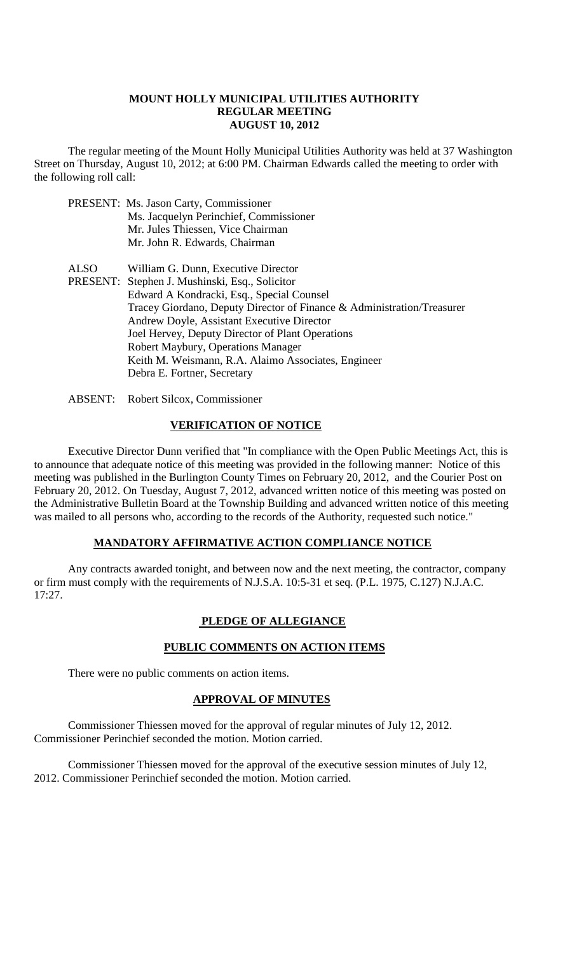#### **MOUNT HOLLY MUNICIPAL UTILITIES AUTHORITY REGULAR MEETING AUGUST 10, 2012**

The regular meeting of the Mount Holly Municipal Utilities Authority was held at 37 Washington Street on Thursday, August 10, 2012; at 6:00 PM. Chairman Edwards called the meeting to order with the following roll call:

- PRESENT: Ms. Jason Carty, Commissioner Ms. Jacquelyn Perinchief, Commissioner Mr. Jules Thiessen, Vice Chairman Mr. John R. Edwards, Chairman
- ALSO William G. Dunn, Executive Director PRESENT: Stephen J. Mushinski, Esq., Solicitor Edward A Kondracki, Esq., Special Counsel Tracey Giordano, Deputy Director of Finance & Administration/Treasurer Andrew Doyle, Assistant Executive Director Joel Hervey, Deputy Director of Plant Operations Robert Maybury, Operations Manager Keith M. Weismann, R.A. Alaimo Associates, Engineer Debra E. Fortner, Secretary
- ABSENT: Robert Silcox, Commissioner

## **VERIFICATION OF NOTICE**

Executive Director Dunn verified that "In compliance with the Open Public Meetings Act, this is to announce that adequate notice of this meeting was provided in the following manner: Notice of this meeting was published in the Burlington County Times on February 20, 2012, and the Courier Post on February 20, 2012. On Tuesday, August 7, 2012, advanced written notice of this meeting was posted on the Administrative Bulletin Board at the Township Building and advanced written notice of this meeting was mailed to all persons who, according to the records of the Authority, requested such notice."

#### **MANDATORY AFFIRMATIVE ACTION COMPLIANCE NOTICE**

Any contracts awarded tonight, and between now and the next meeting, the contractor, company or firm must comply with the requirements of N.J.S.A. 10:5-31 et seq. (P.L. 1975, C.127) N.J.A.C. 17:27.

## **PLEDGE OF ALLEGIANCE**

## **PUBLIC COMMENTS ON ACTION ITEMS**

There were no public comments on action items.

#### **APPROVAL OF MINUTES**

Commissioner Thiessen moved for the approval of regular minutes of July 12, 2012. Commissioner Perinchief seconded the motion. Motion carried.

Commissioner Thiessen moved for the approval of the executive session minutes of July 12, 2012. Commissioner Perinchief seconded the motion. Motion carried.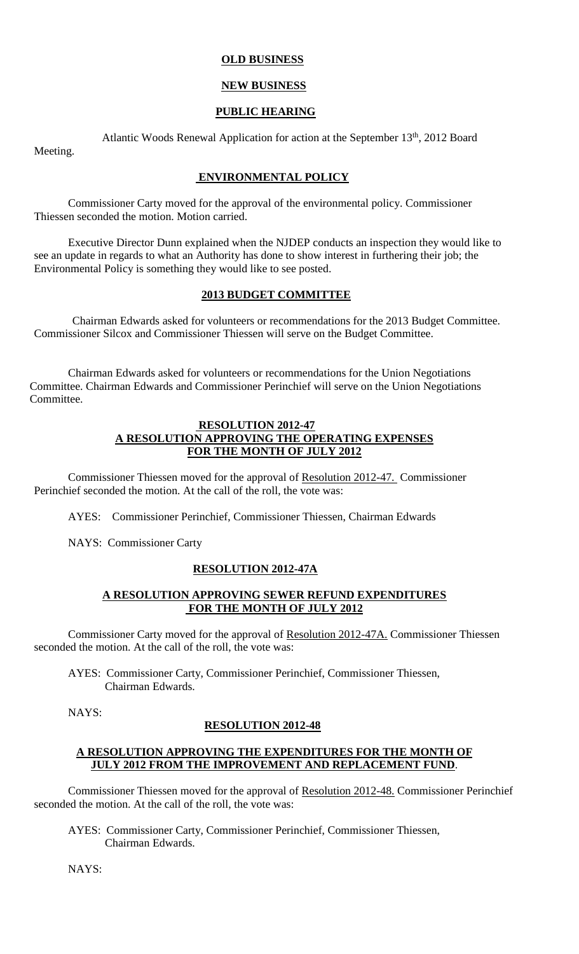### **OLD BUSINESS**

### **NEW BUSINESS**

## **PUBLIC HEARING**

Atlantic Woods Renewal Application for action at the September 13<sup>th</sup>, 2012 Board Meeting.

## **ENVIRONMENTAL POLICY**

Commissioner Carty moved for the approval of the environmental policy. Commissioner Thiessen seconded the motion. Motion carried.

Executive Director Dunn explained when the NJDEP conducts an inspection they would like to see an update in regards to what an Authority has done to show interest in furthering their job; the Environmental Policy is something they would like to see posted.

#### **2013 BUDGET COMMITTEE**

Chairman Edwards asked for volunteers or recommendations for the 2013 Budget Committee. Commissioner Silcox and Commissioner Thiessen will serve on the Budget Committee.

Chairman Edwards asked for volunteers or recommendations for the Union Negotiations Committee. Chairman Edwards and Commissioner Perinchief will serve on the Union Negotiations Committee.

#### **RESOLUTION 2012-47 A RESOLUTION APPROVING THE OPERATING EXPENSES FOR THE MONTH OF JULY 2012**

Commissioner Thiessen moved for the approval of Resolution 2012-47. Commissioner Perinchief seconded the motion. At the call of the roll, the vote was:

AYES: Commissioner Perinchief, Commissioner Thiessen, Chairman Edwards

NAYS: Commissioner Carty

#### **RESOLUTION 2012-47A**

## **A RESOLUTION APPROVING SEWER REFUND EXPENDITURES FOR THE MONTH OF JULY 2012**

Commissioner Carty moved for the approval of Resolution 2012-47A. Commissioner Thiessen seconded the motion. At the call of the roll, the vote was:

AYES: Commissioner Carty, Commissioner Perinchief, Commissioner Thiessen, Chairman Edwards.

NAYS:

## **RESOLUTION 2012-48**

#### **A RESOLUTION APPROVING THE EXPENDITURES FOR THE MONTH OF JULY 2012 FROM THE IMPROVEMENT AND REPLACEMENT FUND**.

Commissioner Thiessen moved for the approval of Resolution 2012-48. Commissioner Perinchief seconded the motion. At the call of the roll, the vote was:

AYES: Commissioner Carty, Commissioner Perinchief, Commissioner Thiessen, Chairman Edwards.

NAYS: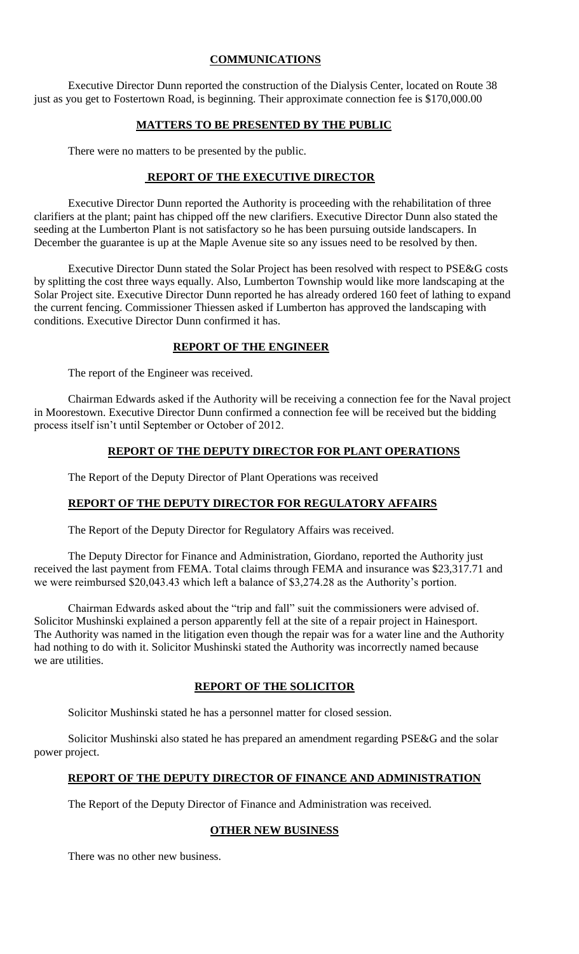## **COMMUNICATIONS**

Executive Director Dunn reported the construction of the Dialysis Center, located on Route 38 just as you get to Fostertown Road, is beginning. Their approximate connection fee is \$170,000.00

## **MATTERS TO BE PRESENTED BY THE PUBLIC**

There were no matters to be presented by the public.

## **REPORT OF THE EXECUTIVE DIRECTOR**

Executive Director Dunn reported the Authority is proceeding with the rehabilitation of three clarifiers at the plant; paint has chipped off the new clarifiers. Executive Director Dunn also stated the seeding at the Lumberton Plant is not satisfactory so he has been pursuing outside landscapers. In December the guarantee is up at the Maple Avenue site so any issues need to be resolved by then.

Executive Director Dunn stated the Solar Project has been resolved with respect to PSE&G costs by splitting the cost three ways equally. Also, Lumberton Township would like more landscaping at the Solar Project site. Executive Director Dunn reported he has already ordered 160 feet of lathing to expand the current fencing. Commissioner Thiessen asked if Lumberton has approved the landscaping with conditions. Executive Director Dunn confirmed it has.

## **REPORT OF THE ENGINEER**

The report of the Engineer was received.

Chairman Edwards asked if the Authority will be receiving a connection fee for the Naval project in Moorestown. Executive Director Dunn confirmed a connection fee will be received but the bidding process itself isn't until September or October of 2012.

## **REPORT OF THE DEPUTY DIRECTOR FOR PLANT OPERATIONS**

The Report of the Deputy Director of Plant Operations was received

## **REPORT OF THE DEPUTY DIRECTOR FOR REGULATORY AFFAIRS**

The Report of the Deputy Director for Regulatory Affairs was received.

The Deputy Director for Finance and Administration, Giordano, reported the Authority just received the last payment from FEMA. Total claims through FEMA and insurance was \$23,317.71 and we were reimbursed \$20,043.43 which left a balance of \$3,274.28 as the Authority's portion.

Chairman Edwards asked about the "trip and fall" suit the commissioners were advised of. Solicitor Mushinski explained a person apparently fell at the site of a repair project in Hainesport. The Authority was named in the litigation even though the repair was for a water line and the Authority had nothing to do with it. Solicitor Mushinski stated the Authority was incorrectly named because we are utilities.

## **REPORT OF THE SOLICITOR**

Solicitor Mushinski stated he has a personnel matter for closed session.

Solicitor Mushinski also stated he has prepared an amendment regarding PSE&G and the solar power project.

## **REPORT OF THE DEPUTY DIRECTOR OF FINANCE AND ADMINISTRATION**

The Report of the Deputy Director of Finance and Administration was received.

## **OTHER NEW BUSINESS**

There was no other new business.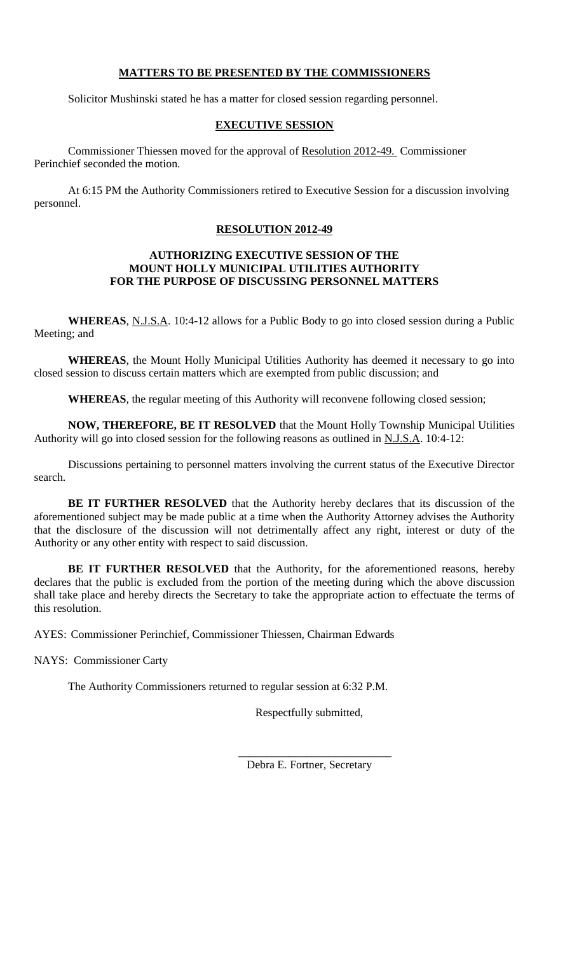## **MATTERS TO BE PRESENTED BY THE COMMISSIONERS**

Solicitor Mushinski stated he has a matter for closed session regarding personnel.

## **EXECUTIVE SESSION**

Commissioner Thiessen moved for the approval of Resolution 2012-49. Commissioner Perinchief seconded the motion.

At 6:15 PM the Authority Commissioners retired to Executive Session for a discussion involving personnel.

## **RESOLUTION 2012-49**

### **AUTHORIZING EXECUTIVE SESSION OF THE MOUNT HOLLY MUNICIPAL UTILITIES AUTHORITY FOR THE PURPOSE OF DISCUSSING PERSONNEL MATTERS**

**WHEREAS**, N.J.S.A. 10:4-12 allows for a Public Body to go into closed session during a Public Meeting; and

**WHEREAS**, the Mount Holly Municipal Utilities Authority has deemed it necessary to go into closed session to discuss certain matters which are exempted from public discussion; and

**WHEREAS**, the regular meeting of this Authority will reconvene following closed session;

**NOW, THEREFORE, BE IT RESOLVED** that the Mount Holly Township Municipal Utilities Authority will go into closed session for the following reasons as outlined in N.J.S.A. 10:4-12:

Discussions pertaining to personnel matters involving the current status of the Executive Director search.

**BE IT FURTHER RESOLVED** that the Authority hereby declares that its discussion of the aforementioned subject may be made public at a time when the Authority Attorney advises the Authority that the disclosure of the discussion will not detrimentally affect any right, interest or duty of the Authority or any other entity with respect to said discussion.

**BE IT FURTHER RESOLVED** that the Authority, for the aforementioned reasons, hereby declares that the public is excluded from the portion of the meeting during which the above discussion shall take place and hereby directs the Secretary to take the appropriate action to effectuate the terms of this resolution.

AYES: Commissioner Perinchief, Commissioner Thiessen, Chairman Edwards

NAYS: Commissioner Carty

The Authority Commissioners returned to regular session at 6:32 P.M.

Respectfully submitted,

Debra E. Fortner, Secretary

\_\_\_\_\_\_\_\_\_\_\_\_\_\_\_\_\_\_\_\_\_\_\_\_\_\_\_